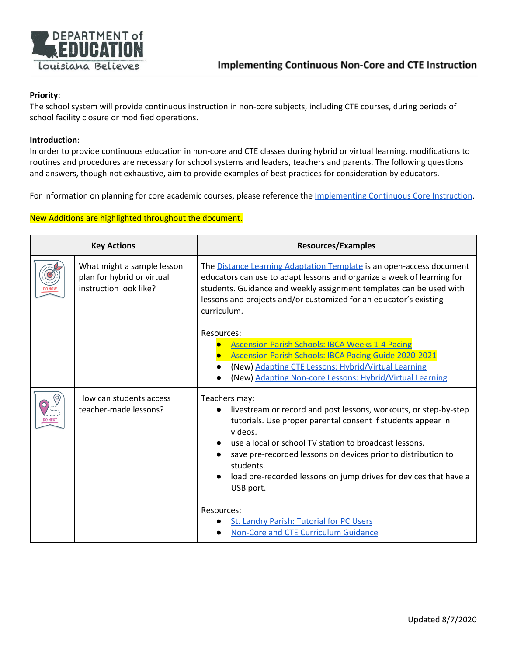

## **Priority**:

The school system will provide continuous instruction in non-core subjects, including CTE courses, during periods of school facility closure or modified operations.

## **Introduction**:

In order to provide continuous education in non-core and CTE classes during hybrid or virtual learning, modifications to routines and procedures are necessary for school systems and leaders, teachers and parents. The following questions and answers, though not exhaustive, aim to provide examples of best practices for consideration by educators.

For information on planning for core academic courses, please reference the *[Implementing](https://www.louisianabelieves.com/docs/default-source/strong-start-2020/implementing-continuous-core-instruction.pdf?sfvrsn=2e54981f_2) Continuous Core Instruction*.

## New Additions are highlighted throughout the document.

| <b>Key Actions</b> |                                                                                    | <b>Resources/Examples</b>                                                                                                                                                                                                                                                                                                                                                             |
|--------------------|------------------------------------------------------------------------------------|---------------------------------------------------------------------------------------------------------------------------------------------------------------------------------------------------------------------------------------------------------------------------------------------------------------------------------------------------------------------------------------|
|                    | What might a sample lesson<br>plan for hybrid or virtual<br>instruction look like? | The Distance Learning Adaptation Template is an open-access document<br>educators can use to adapt lessons and organize a week of learning for<br>students. Guidance and weekly assignment templates can be used with<br>lessons and projects and/or customized for an educator's existing<br>curriculum.                                                                             |
|                    |                                                                                    | Resources:<br><b>Ascension Parish Schools: IBCA Weeks 1-4 Pacing</b><br>Ascension Parish Schools: IBCA Pacing Guide 2020-2021<br>(New) Adapting CTE Lessons: Hybrid/Virtual Learning<br>(New) Adapting Non-core Lessons: Hybrid/Virtual Learning                                                                                                                                      |
|                    | How can students access<br>teacher-made lessons?                                   | Teachers may:<br>livestream or record and post lessons, workouts, or step-by-step<br>tutorials. Use proper parental consent if students appear in<br>videos.<br>use a local or school TV station to broadcast lessons.<br>save pre-recorded lessons on devices prior to distribution to<br>students.<br>load pre-recorded lessons on jump drives for devices that have a<br>USB port. |
|                    |                                                                                    | Resources:<br>St. Landry Parish: Tutorial for PC Users<br>Non-Core and CTE Curriculum Guidance                                                                                                                                                                                                                                                                                        |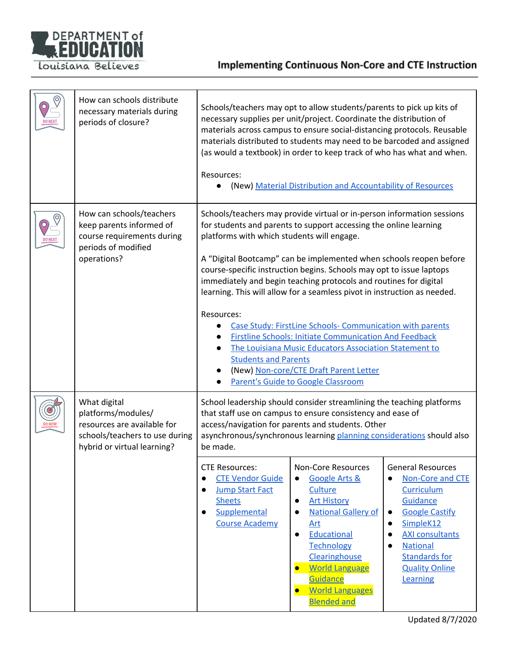

| How can schools distribute<br>necessary materials during<br>periods of closure?                                                    | Schools/teachers may opt to allow students/parents to pick up kits of<br>necessary supplies per unit/project. Coordinate the distribution of<br>materials across campus to ensure social-distancing protocols. Reusable<br>materials distributed to students may need to be barcoded and assigned<br>(as would a textbook) in order to keep track of who has what and when.<br>Resources:<br>(New) Material Distribution and Accountability of Resources                                                                                                                                                                                                                                                                                                                                                      |  |
|------------------------------------------------------------------------------------------------------------------------------------|---------------------------------------------------------------------------------------------------------------------------------------------------------------------------------------------------------------------------------------------------------------------------------------------------------------------------------------------------------------------------------------------------------------------------------------------------------------------------------------------------------------------------------------------------------------------------------------------------------------------------------------------------------------------------------------------------------------------------------------------------------------------------------------------------------------|--|
| How can schools/teachers<br>keep parents informed of<br>course requirements during<br>periods of modified<br>operations?           | Schools/teachers may provide virtual or in-person information sessions<br>for students and parents to support accessing the online learning<br>platforms with which students will engage.<br>A "Digital Bootcamp" can be implemented when schools reopen before<br>course-specific instruction begins. Schools may opt to issue laptops<br>immediately and begin teaching protocols and routines for digital<br>learning. This will allow for a seamless pivot in instruction as needed.<br>Resources:<br>Case Study: FirstLine Schools- Communication with parents<br><b>Firstline Schools: Initiate Communication And Feedback</b><br>The Louisiana Music Educators Association Statement to<br><b>Students and Parents</b><br>(New) Non-core/CTE Draft Parent Letter<br>Parent's Guide to Google Classroom |  |
| What digital<br>platforms/modules/<br>resources are available for<br>schools/teachers to use during<br>hybrid or virtual learning? | School leadership should consider streamlining the teaching platforms<br>that staff use on campus to ensure consistency and ease of<br>access/navigation for parents and students. Other<br>asynchronous/synchronous learning planning considerations should also<br>be made.                                                                                                                                                                                                                                                                                                                                                                                                                                                                                                                                 |  |
|                                                                                                                                    | Non-Core Resources<br><b>General Resources</b><br><b>CTE Resources:</b><br><b>CTE Vendor Guide</b><br>Non-Core and CTE<br>Google Arts &<br>$\bullet$<br>Culture<br><b>Jump Start Fact</b><br>Curriculum<br>Guidance<br><b>Sheets</b><br><b>Art History</b><br>$\bullet$<br>Supplemental<br><b>National Gallery of</b><br><b>Google Castify</b><br>$\bullet$<br>$\bullet$<br><b>Course Academy</b><br>SimpleK12<br>Art<br>$\bullet$<br>Educational<br><b>AXI consultants</b><br>$\bullet$<br>$\bullet$<br><b>Technology</b><br><b>National</b><br>$\bullet$<br>Clearinghouse<br><b>Standards for</b><br><b>World Language</b><br><b>Quality Online</b><br>$\bullet$<br>Guidance<br>Learning<br><b>World Languages</b><br>$\bullet$<br><b>Blended and</b>                                                       |  |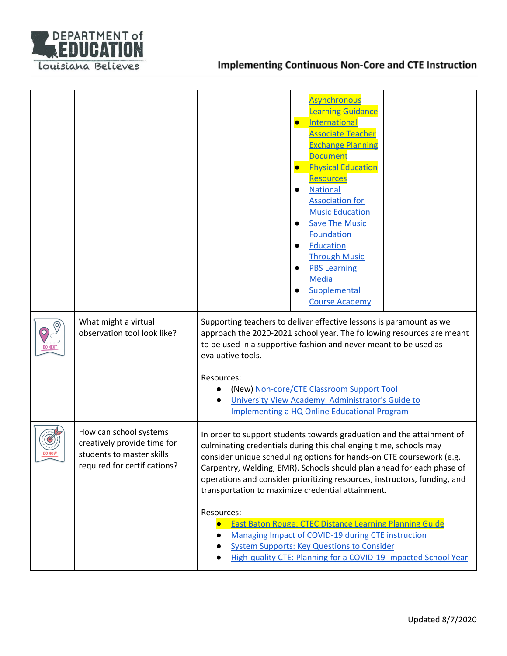

|                | What might a virtual                                                                                               | <b>Asynchronous</b><br><b>Learning Guidance</b><br>International<br><b>Associate Teacher</b><br><b>Exchange Planning</b><br><b>Document</b><br><b>Physical Education</b><br><b>Resources</b><br><b>National</b><br><b>Association for</b><br><b>Music Education</b><br><b>Save The Music</b><br>Foundation<br>Education<br><b>Through Music</b><br><b>PBS Learning</b><br><b>Media</b><br>Supplemental<br><b>Course Academy</b><br>Supporting teachers to deliver effective lessons is paramount as we |
|----------------|--------------------------------------------------------------------------------------------------------------------|--------------------------------------------------------------------------------------------------------------------------------------------------------------------------------------------------------------------------------------------------------------------------------------------------------------------------------------------------------------------------------------------------------------------------------------------------------------------------------------------------------|
| <b>DO NEXT</b> | observation tool look like?                                                                                        | approach the 2020-2021 school year. The following resources are meant<br>to be used in a supportive fashion and never meant to be used as<br>evaluative tools.<br>Resources:<br>(New) Non-core/CTE Classroom Support Tool                                                                                                                                                                                                                                                                              |
|                |                                                                                                                    | University View Academy: Administrator's Guide to<br><b>Implementing a HQ Online Educational Program</b>                                                                                                                                                                                                                                                                                                                                                                                               |
| <b>DO NOW</b>  | How can school systems<br>creatively provide time for<br>students to master skills<br>required for certifications? | In order to support students towards graduation and the attainment of<br>culminating credentials during this challenging time, schools may<br>consider unique scheduling options for hands-on CTE coursework (e.g.<br>Carpentry, Welding, EMR). Schools should plan ahead for each phase of<br>operations and consider prioritizing resources, instructors, funding, and<br>transportation to maximize credential attainment.                                                                          |
|                |                                                                                                                    | Resources:<br><b>East Baton Rouge: CTEC Distance Learning Planning Guide</b><br>Managing Impact of COVID-19 during CTE instruction<br><b>System Supports: Key Questions to Consider</b><br>High-quality CTE: Planning for a COVID-19-Impacted School Year                                                                                                                                                                                                                                              |